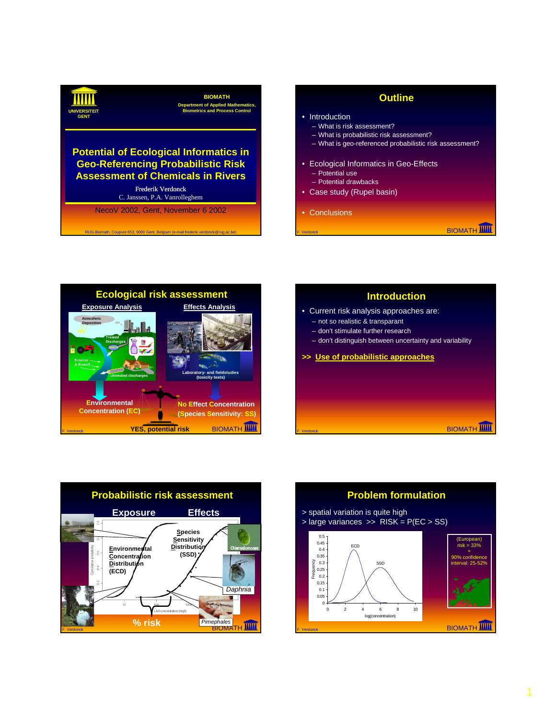

## **Outline**

- Introduction
	- What is risk assessment?
	- What is probabilistic risk assessment?
	- What is geo-referenced probabilistic risk assessment?
- Ecological Informatics in Geo-Effects – Potential use
	- Potential drawbacks
- Case study (Rupel basin)
- Conclusions

**BIOMATH** 



RUG-Biomath, Coupure 653, 9000 Gent, Belgium (e-mail frederik.verdonck@rug.ac.be)





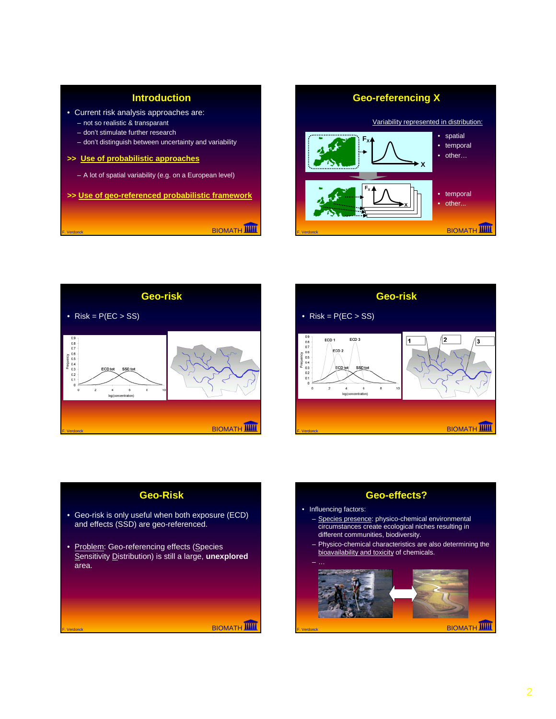









- Species presence: physico-chemical environmental circumstances create ecological niches resulting in different communities, biodiversity.
- Physico-chemical characteristics are also determining the bioavailability and toxicity of chemicals.